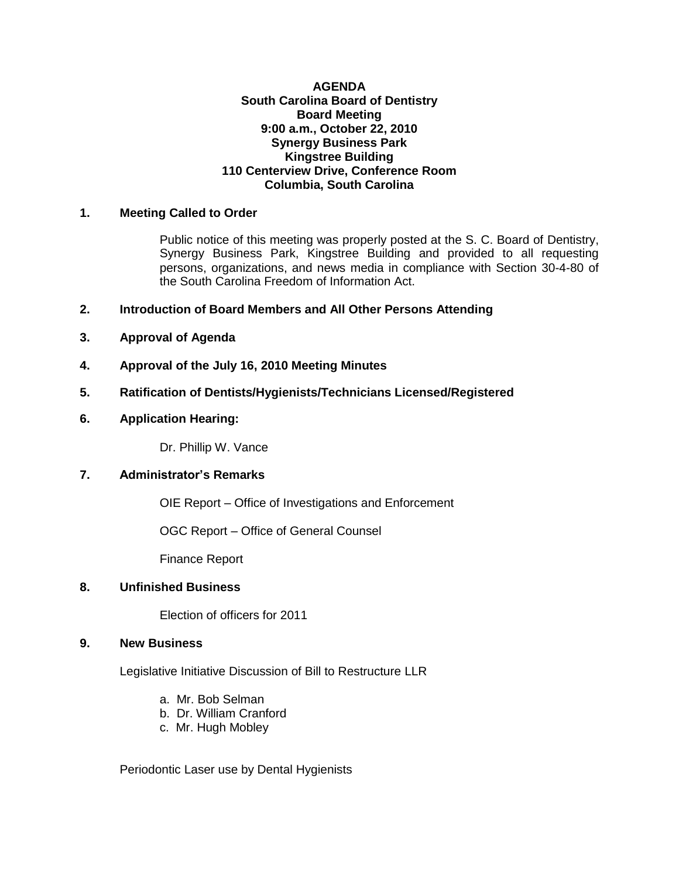#### **AGENDA South Carolina Board of Dentistry Board Meeting 9:00 a.m., October 22, 2010 Synergy Business Park Kingstree Building 110 Centerview Drive, Conference Room Columbia, South Carolina**

## **1. Meeting Called to Order**

Public notice of this meeting was properly posted at the S. C. Board of Dentistry, Synergy Business Park, Kingstree Building and provided to all requesting persons, organizations, and news media in compliance with Section 30-4-80 of the South Carolina Freedom of Information Act.

- **2. Introduction of Board Members and All Other Persons Attending**
- **3. Approval of Agenda**
- **4. Approval of the July 16, 2010 Meeting Minutes**
- **5. Ratification of Dentists/Hygienists/Technicians Licensed/Registered**
- **6. Application Hearing:**

Dr. Phillip W. Vance

### **7. Administrator's Remarks**

OIE Report – Office of Investigations and Enforcement

OGC Report – Office of General Counsel

Finance Report

### **8. Unfinished Business**

Election of officers for 2011

#### **9. New Business**

Legislative Initiative Discussion of Bill to Restructure LLR

- a. Mr. Bob Selman
- b. Dr. William Cranford
- c. Mr. Hugh Mobley

Periodontic Laser use by Dental Hygienists